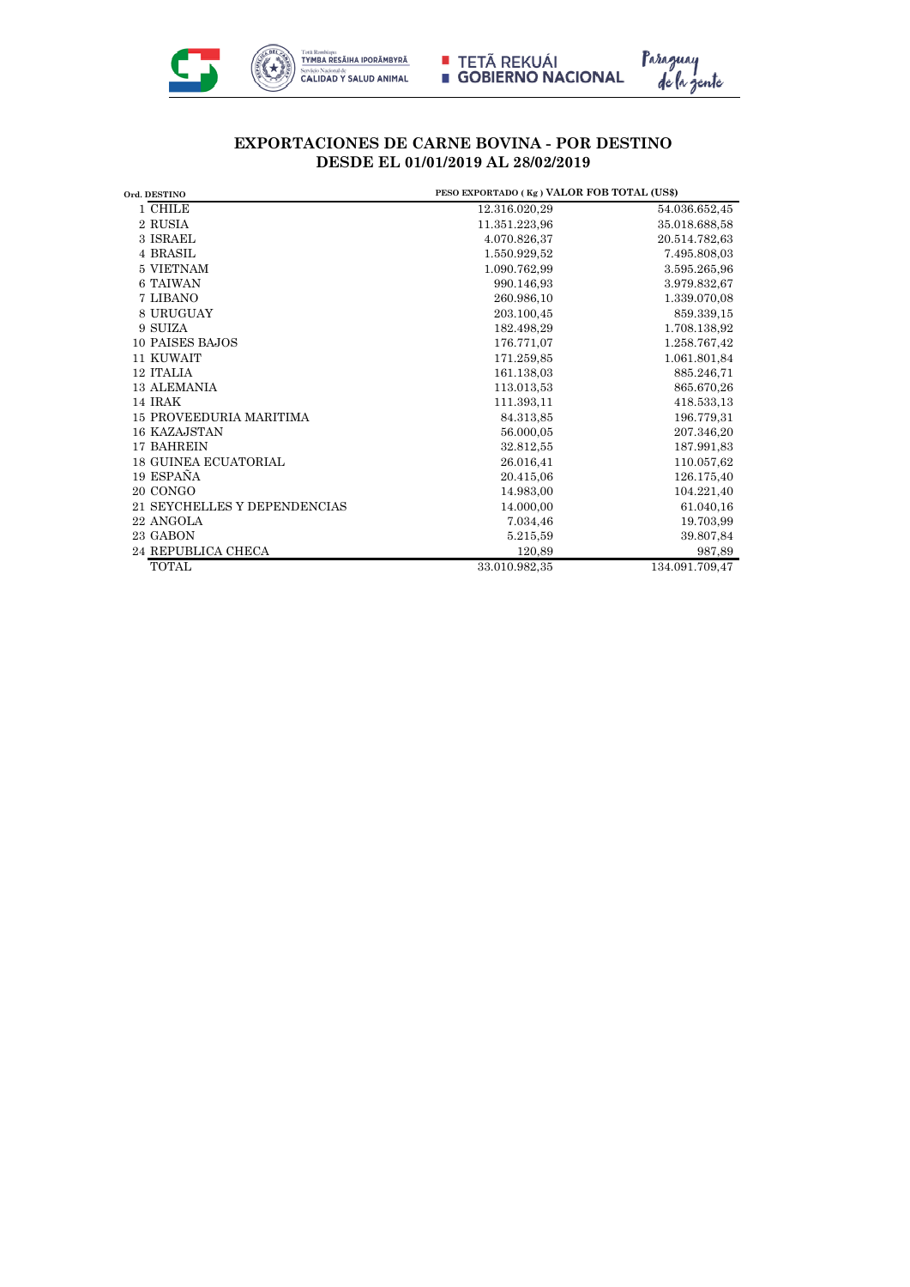



## **EXPORTACIONES DE CARNE BOVINA - POR DESTINO DESDE EL 01/01/2019 AL 28/02/2019**

| Ord. DESTINO                   | PESO EXPORTADO (Kg) VALOR FOB TOTAL (US\$) |                |
|--------------------------------|--------------------------------------------|----------------|
| 1 CHILE                        | 12.316.020,29                              | 54.036.652,45  |
| 2 RUSIA                        | 11.351.223,96                              | 35.018.688,58  |
| 3 ISRAEL                       | 4.070.826,37                               | 20.514.782,63  |
| 4 BRASIL                       | 1.550.929.52                               | 7.495.808,03   |
| 5 VIETNAM                      | 1.090.762,99                               | 3.595.265,96   |
| 6 TAIWAN                       | 990.146,93                                 | 3.979.832,67   |
| 7 LIBANO                       | 260.986.10                                 | 1.339.070,08   |
| 8 URUGUAY                      | 203.100,45                                 | 859.339,15     |
| 9 SUIZA                        | 182.498,29                                 | 1.708.138,92   |
| 10 PAISES BAJOS                | 176.771,07                                 | 1.258.767,42   |
| 11 KUWAIT                      | 171.259,85                                 | 1.061.801,84   |
| 12 ITALIA                      | 161.138,03                                 | 885.246,71     |
| <b>13 ALEMANIA</b>             | 113.013,53                                 | 865.670,26     |
| 14 IRAK                        | 111.393,11                                 | 418.533,13     |
| <b>15 PROVEEDURIA MARITIMA</b> | 84.313,85                                  | 196.779,31     |
| 16 KAZAJSTAN                   | 56.000,05                                  | 207.346,20     |
| 17 BAHREIN                     | 32.812,55                                  | 187.991,83     |
| <b>18 GUINEA ECUATORIAL</b>    | 26.016,41                                  | 110.057,62     |
| 19 ESPAÑA                      | 20.415,06                                  | 126.175,40     |
| 20 CONGO                       | 14.983,00                                  | 104.221,40     |
| 21 SEYCHELLES Y DEPENDENCIAS   | 14.000.00                                  | 61.040,16      |
| 22 ANGOLA                      | 7.034,46                                   | 19.703,99      |
| 23 GABON                       | 5.215,59                                   | 39.807,84      |
| <b>24 REPUBLICA CHECA</b>      | 120,89                                     | 987,89         |
| <b>TOTAL</b>                   | 33.010.982,35                              | 134.091.709,47 |